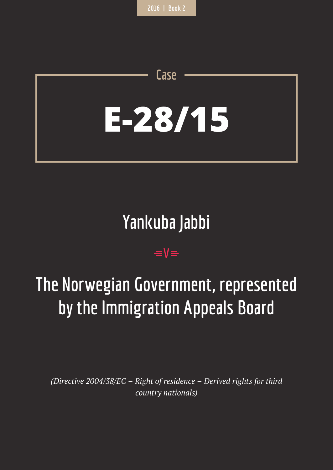# **E-28/15**

**Case**

# **Yankuba Jabbi**

## $=$ **V** $=$

# **The Norwegian Government, represented by the Immigration Appeals Board**

*(Directive 2004/38/EC – Right of residence – Derived rights for third country nationals)*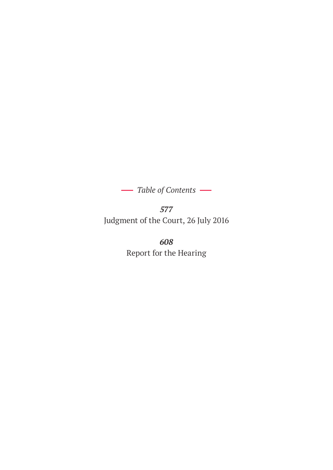*Table of Contents* 

*577* Judgment of the Court, 26 July 2016

> *608* Report for the Hearing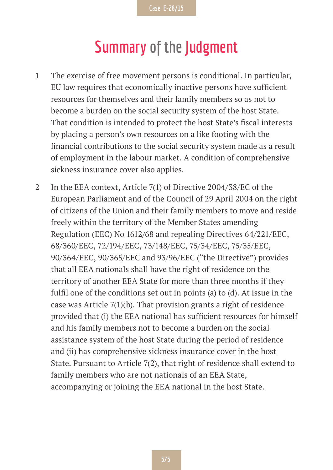## **Summary of the Judgment**

- 1 The exercise of free movement persons is conditional. In particular, EU law requires that economically inactive persons have sufficient resources for themselves and their family members so as not to become a burden on the social security system of the host State. That condition is intended to protect the host State's fiscal interests by placing a person's own resources on a like footing with the financial contributions to the social security system made as a result of employment in the labour market. A condition of comprehensive sickness insurance cover also applies.
- 2 In the EEA context, Article 7(1) of Directive 2004/38/EC of the European Parliament and of the Council of 29 April 2004 on the right of citizens of the Union and their family members to move and reside freely within the territory of the Member States amending Regulation (EEC) No 1612/68 and repealing Directives 64/221/EEC, 68/360/EEC, 72/194/EEC, 73/148/EEC, 75/34/EEC, 75/35/EEC, 90/364/EEC, 90/365/EEC and 93/96/EEC ("the Directive") provides that all EEA nationals shall have the right of residence on the territory of another EEA State for more than three months if they fulfil one of the conditions set out in points (a) to (d). At issue in the case was Article 7(1)(b). That provision grants a right of residence provided that (i) the EEA national has sufficient resources for himself and his family members not to become a burden on the social assistance system of the host State during the period of residence and (ii) has comprehensive sickness insurance cover in the host State. Pursuant to Article 7(2), that right of residence shall extend to family members who are not nationals of an EEA State, accompanying or joining the EEA national in the host State.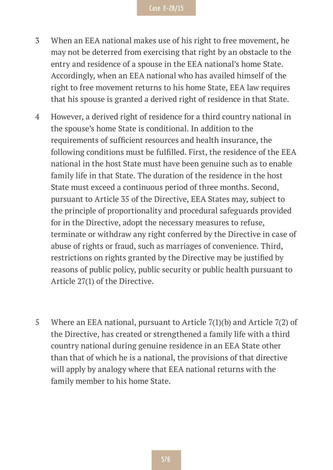- 3 When an EEA national makes use of his right to free movement, he may not be deterred from exercising that right by an obstacle to the entry and residence of a spouse in the EEA national's home State. Accordingly, when an EEA national who has availed himself of the right to free movement returns to his home State, EEA law requires that his spouse is granted a derived right of residence in that State.
- 4 However, a derived right of residence for a third country national in the spouse's home State is conditional. In addition to the requirements of sufficient resources and health insurance, the following conditions must be fulfilled. First, the residence of the EEA national in the host State must have been genuine such as to enable family life in that State. The duration of the residence in the host State must exceed a continuous period of three months. Second, pursuant to Article 35 of the Directive, EEA States may, subject to the principle of proportionality and procedural safeguards provided for in the Directive, adopt the necessary measures to refuse, terminate or withdraw any right conferred by the Directive in case of abuse of rights or fraud, such as marriages of convenience. Third, restrictions on rights granted by the Directive may be justified by reasons of public policy, public security or public health pursuant to Article 27(1) of the Directive.
- 5 Where an EEA national, pursuant to Article 7(1)(b) and Article 7(2) of the Directive, has created or strengthened a family life with a third country national during genuine residence in an EEA State other than that of which he is a national, the provisions of that directive will apply by analogy where that EEA national returns with the family member to his home State.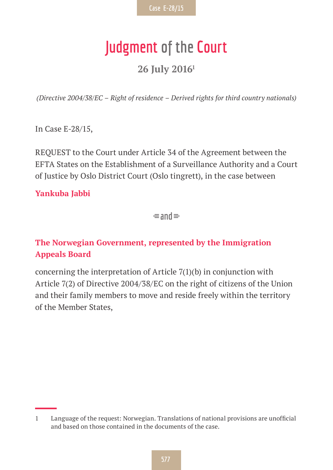## **Judgment of the Court**

#### **26 July 20161**

*(Directive 2004/38/EC – Right of residence – Derived rights for third country nationals)*

In Case E-28/15,

REQUEST to the Court under Article 34 of the Agreement between the EFTA States on the Establishment of a Surveillance Authority and a Court of Justice by Oslo District Court (Oslo tingrett), in the case between

#### **Yankuba Jabbi**

 $\equiv$ and $\equiv$ 

#### **The Norwegian Government, represented by the Immigration Appeals Board**

concerning the interpretation of Article 7(1)(b) in conjunction with Article 7(2) of Directive 2004/38/EC on the right of citizens of the Union and their family members to move and reside freely within the territory of the Member States,

<sup>1</sup> Language of the request: Norwegian. Translations of national provisions are unofficial and based on those contained in the documents of the case.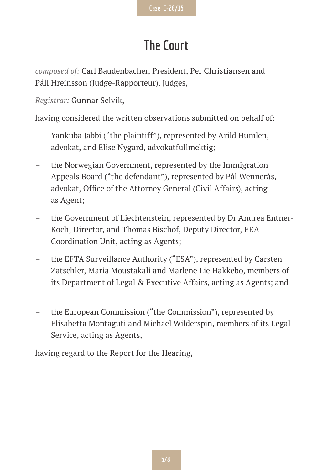## **The Court**

*composed of:* Carl Baudenbacher, President, Per Christiansen and Páll Hreinsson (Judge-Rapporteur), Judges,

*Registrar:* Gunnar Selvik,

having considered the written observations submitted on behalf of:

- Yankuba Jabbi ("the plaintiff"), represented by Arild Humlen, advokat, and Elise Nygård, advokatfullmektig;
- the Norwegian Government, represented by the Immigration Appeals Board ("the defendant"), represented by Pål Wennerås, advokat, Office of the Attorney General (Civil Affairs), acting as Agent;
- the Government of Liechtenstein, represented by Dr Andrea Entner-Koch, Director, and Thomas Bischof, Deputy Director, EEA Coordination Unit, acting as Agents;
- the EFTA Surveillance Authority ("ESA"), represented by Carsten Zatschler, Maria Moustakali and Marlene Lie Hakkebo, members of its Department of Legal & Executive Affairs, acting as Agents; and
- the European Commission ("the Commission"), represented by Elisabetta Montaguti and Michael Wilderspin, members of its Legal Service, acting as Agents,

having regard to the Report for the Hearing,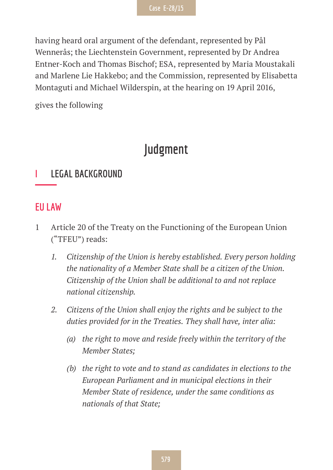having heard oral argument of the defendant, represented by Pål Wennerås; the Liechtenstein Government, represented by Dr Andrea Entner-Koch and Thomas Bischof; ESA, represented by Maria Moustakali and Marlene Lie Hakkebo; and the Commission, represented by Elisabetta Montaguti and Michael Wilderspin, at the hearing on 19 April 2016,

gives the following

### **Judgment**

#### **I LEGAL BACKGROUND**

#### **EU LAW**

- 1 Article 20 of the Treaty on the Functioning of the European Union ("TFEU") reads:
	- *1. Citizenship of the Union is hereby established. Every person holding the nationality of a Member State shall be a citizen of the Union. Citizenship of the Union shall be additional to and not replace national citizenship.*
	- *2. Citizens of the Union shall enjoy the rights and be subject to the duties provided for in the Treaties. They shall have, inter alia:*
		- *(a) the right to move and reside freely within the territory of the Member States;*
		- *(b) the right to vote and to stand as candidates in elections to the European Parliament and in municipal elections in their Member State of residence, under the same conditions as nationals of that State;*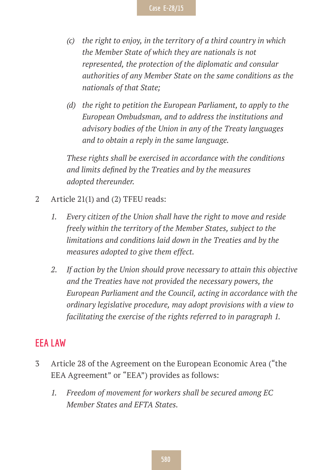- *(c) the right to enjoy, in the territory of a third country in which the Member State of which they are nationals is not represented, the protection of the diplomatic and consular authorities of any Member State on the same conditions as the nationals of that State;*
- *(d) the right to petition the European Parliament, to apply to the European Ombudsman, and to address the institutions and advisory bodies of the Union in any of the Treaty languages and to obtain a reply in the same language.*

*These rights shall be exercised in accordance with the conditions and limits defined by the Treaties and by the measures adopted thereunder.*

- 2 Article 21(1) and (2) TFEU reads:
	- *1. Every citizen of the Union shall have the right to move and reside freely within the territory of the Member States, subject to the limitations and conditions laid down in the Treaties and by the measures adopted to give them effect.*
	- *2. If action by the Union should prove necessary to attain this objective and the Treaties have not provided the necessary powers, the European Parliament and the Council, acting in accordance with the ordinary legislative procedure, may adopt provisions with a view to facilitating the exercise of the rights referred to in paragraph 1.*

#### **EEA LAW**

- 3 Article 28 of the Agreement on the European Economic Area ("the EEA Agreement" or "EEA") provides as follows:
	- *1. Freedom of movement for workers shall be secured among EC Member States and EFTA States.*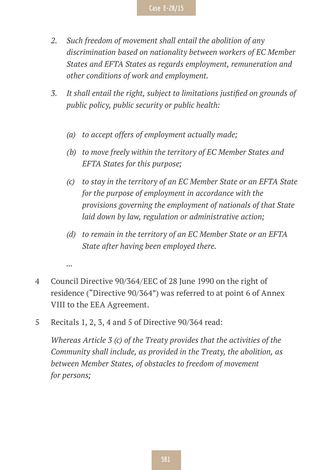- *2. Such freedom of movement shall entail the abolition of any discrimination based on nationality between workers of EC Member States and EFTA States as regards employment, remuneration and other conditions of work and employment.*
- *3. It shall entail the right, subject to limitations justified on grounds of public policy, public security or public health:*
	- *(a) to accept offers of employment actually made;*
	- *(b) to move freely within the territory of EC Member States and EFTA States for this purpose;*
	- *(c) to stay in the territory of an EC Member State or an EFTA State for the purpose of employment in accordance with the provisions governing the employment of nationals of that State laid down by law, regulation or administrative action;*
	- *(d) to remain in the territory of an EC Member State or an EFTA State after having been employed there.*

*...*

- 4 Council Directive 90/364/EEC of 28 June 1990 on the right of residence ("Directive 90/364") was referred to at point 6 of Annex VIII to the EEA Agreement.
- 5 Recitals 1, 2, 3, 4 and 5 of Directive 90/364 read:

*Whereas Article 3 (c) of the Treaty provides that the activities of the Community shall include, as provided in the Treaty, the abolition, as between Member States, of obstacles to freedom of movement for persons;*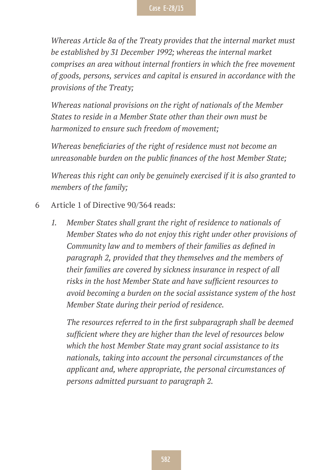*Whereas Article 8a of the Treaty provides that the internal market must be established by 31 December 1992; whereas the internal market comprises an area without internal frontiers in which the free movement of goods, persons, services and capital is ensured in accordance with the provisions of the Treaty;*

*Whereas national provisions on the right of nationals of the Member States to reside in a Member State other than their own must be harmonized to ensure such freedom of movement;*

*Whereas beneficiaries of the right of residence must not become an unreasonable burden on the public finances of the host Member State;*

*Whereas this right can only be genuinely exercised if it is also granted to members of the family;*

- 6 Article 1 of Directive 90/364 reads:
	- *1. Member States shall grant the right of residence to nationals of Member States who do not enjoy this right under other provisions of Community law and to members of their families as defined in paragraph 2, provided that they themselves and the members of their families are covered by sickness insurance in respect of all risks in the host Member State and have sufficient resources to avoid becoming a burden on the social assistance system of the host Member State during their period of residence.*

*The resources referred to in the first subparagraph shall be deemed sufficient where they are higher than the level of resources below which the host Member State may grant social assistance to its nationals, taking into account the personal circumstances of the applicant and, where appropriate, the personal circumstances of persons admitted pursuant to paragraph 2.*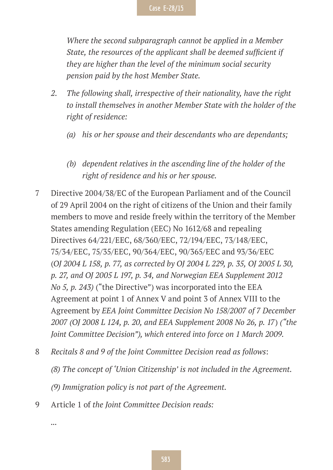*Where the second subparagraph cannot be applied in a Member State, the resources of the applicant shall be deemed sufficient if they are higher than the level of the minimum social security pension paid by the host Member State.*

- *2. The following shall, irrespective of their nationality, have the right to install themselves in another Member State with the holder of the right of residence:*
	- *(a) his or her spouse and their descendants who are dependants;*
	- *(b) dependent relatives in the ascending line of the holder of the right of residence and his or her spouse.*
- 7 Directive 2004/38/EC of the European Parliament and of the Council of 29 April 2004 on the right of citizens of the Union and their family members to move and reside freely within the territory of the Member States amending Regulation (EEC) No 1612/68 and repealing Directives 64/221/EEC, 68/360/EEC, 72/194/EEC, 73/148/EEC, 75/34/EEC, 75/35/EEC, 90/364/EEC, 90/365/EEC and 93/36/EEC (*OJ 2004 L 158, p. 77, as corrected by OJ 2004 L 229, p. 35, OJ 2005 L 30, p. 27, and OJ 2005 L 197, p. 34, and Norwegian EEA Supplement 2012 No 5, p. 243)* ("the Directive") was incorporated into the EEA Agreement at point 1 of Annex V and point 3 of Annex VIII to the Agreement by *EEA Joint Committee Decision No 158/2007 of 7 December 2007 (OJ 2008 L 124, p. 20, and EEA Supplement 2008 No 26, p. 17*) *("the Joint Committee Decision"), which entered into force on 1 March 2009*.
- 8 *Recitals 8 and 9 of the Joint Committee Decision read as follows*:
	- *(8) The concept of 'Union Citizenship' is not included in the Agreement.*

*(9) Immigration policy is not part of the Agreement.*

9 Article 1 of *the Joint Committee Decision reads:*

*...*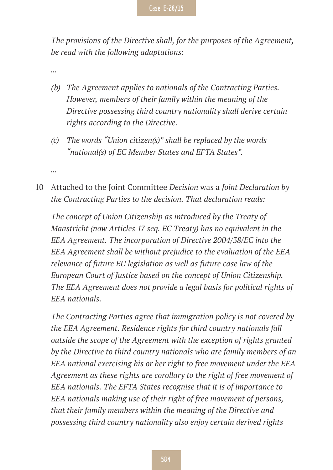*The provisions of the Directive shall, for the purposes of the Agreement, be read with the following adaptations:*

*...*

*...*

- *(b) The Agreement applies to nationals of the Contracting Parties. However, members of their family within the meaning of the Directive possessing third country nationality shall derive certain rights according to the Directive.*
- *(c) The words "Union citizen(s)" shall be replaced by the words "national(s) of EC Member States and EFTA States".*
- 10 Attached to the Joint Committee *Decision* was a *Joint Declaration by the Contracting Parties to the decision. That declaration reads:*

*The concept of Union Citizenship as introduced by the Treaty of Maastricht (now Articles 17 seq. EC Treaty) has no equivalent in the EEA Agreement. The incorporation of Directive 2004/38/EC into the EEA Agreement shall be without prejudice to the evaluation of the EEA relevance of future EU legislation as well as future case law of the European Court of Justice based on the concept of Union Citizenship. The EEA Agreement does not provide a legal basis for political rights of EEA nationals.*

*The Contracting Parties agree that immigration policy is not covered by the EEA Agreement. Residence rights for third country nationals fall outside the scope of the Agreement with the exception of rights granted by the Directive to third country nationals who are family members of an EEA national exercising his or her right to free movement under the EEA Agreement as these rights are corollary to the right of free movement of EEA nationals. The EFTA States recognise that it is of importance to EEA nationals making use of their right of free movement of persons, that their family members within the meaning of the Directive and possessing third country nationality also enjoy certain derived rights*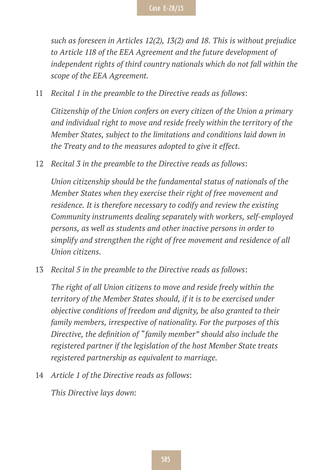*such as foreseen in Articles 12(2), 13(2) and 18. This is without prejudice to Article 118 of the EEA Agreement and the future development of independent rights of third country nationals which do not fall within the scope of the EEA Agreement.*

11 *Recital 1 in the preamble to the Directive reads as follows*:

*Citizenship of the Union confers on every citizen of the Union a primary and individual right to move and reside freely within the territory of the Member States, subject to the limitations and conditions laid down in the Treaty and to the measures adopted to give it effect.*

12 *Recital 3 in the preamble to the Directive reads as follows*:

*Union citizenship should be the fundamental status of nationals of the Member States when they exercise their right of free movement and residence. It is therefore necessary to codify and review the existing Community instruments dealing separately with workers, self-employed persons, as well as students and other inactive persons in order to simplify and strengthen the right of free movement and residence of all Union citizens.*

13 *Recital 5 in the preamble to the Directive reads as follows*:

*The right of all Union citizens to move and reside freely within the territory of the Member States should, if it is to be exercised under objective conditions of freedom and dignity, be also granted to their family members, irrespective of nationality. For the purposes of this Directive, the definition of "family member" should also include the registered partner if the legislation of the host Member State treats registered partnership as equivalent to marriage.*

14 *Article 1 of the Directive reads as follows*:

*This Directive lays down:*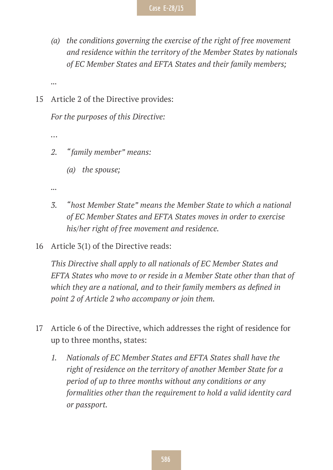- *(a) the conditions governing the exercise of the right of free movement and residence within the territory of the Member States by nationals of EC Member States and EFTA States and their family members;*
- *...*
- 15 Article 2 of the Directive provides:

*For the purposes of this Directive:*

*…*

- *2. "family member" means:*
	- *(a) the spouse;*

*...*

- *3. "host Member State" means the Member State to which a national of EC Member States and EFTA States moves in order to exercise his/her right of free movement and residence.*
- 16 Article 3(1) of the Directive reads:

*This Directive shall apply to all nationals of EC Member States and EFTA States who move to or reside in a Member State other than that of which they are a national, and to their family members as defined in point 2 of Article 2 who accompany or join them.*

- 17 Article 6 of the Directive, which addresses the right of residence for up to three months, states:
	- *1. Nationals of EC Member States and EFTA States shall have the right of residence on the territory of another Member State for a period of up to three months without any conditions or any formalities other than the requirement to hold a valid identity card or passport.*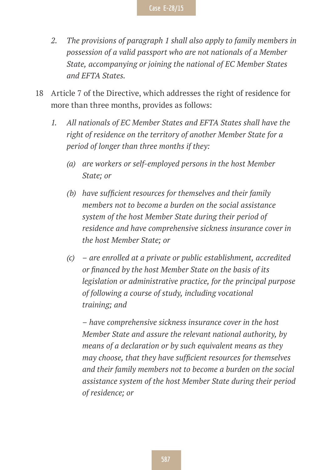- *2. The provisions of paragraph 1 shall also apply to family members in possession of a valid passport who are not nationals of a Member State, accompanying or joining the national of EC Member States and EFTA States.*
- 18 Article 7 of the Directive, which addresses the right of residence for more than three months, provides as follows:
	- *1. All nationals of EC Member States and EFTA States shall have the right of residence on the territory of another Member State for a period of longer than three months if they:*
		- *(a) are workers or self-employed persons in the host Member State; or*
		- *(b) have sufficient resources for themselves and their family members not to become a burden on the social assistance system of the host Member State during their period of residence and have comprehensive sickness insurance cover in the host Member State; or*
		- *(c) are enrolled at a private or public establishment, accredited or financed by the host Member State on the basis of its legislation or administrative practice, for the principal purpose of following a course of study, including vocational training; and*

*– have comprehensive sickness insurance cover in the host Member State and assure the relevant national authority, by means of a declaration or by such equivalent means as they may choose, that they have sufficient resources for themselves and their family members not to become a burden on the social assistance system of the host Member State during their period of residence; or*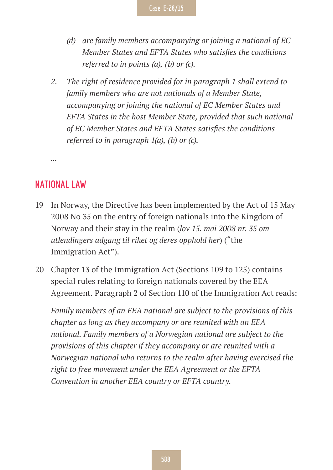- *(d) are family members accompanying or joining a national of EC Member States and EFTA States who satisfies the conditions referred to in points (a), (b) or (c).*
- *2. The right of residence provided for in paragraph 1 shall extend to family members who are not nationals of a Member State, accompanying or joining the national of EC Member States and EFTA States in the host Member State, provided that such national of EC Member States and EFTA States satisfies the conditions referred to in paragraph 1(a), (b) or (c).*

**NATIONAL LAW**

*...*

- 19 In Norway, the Directive has been implemented by the Act of 15 May 2008 No 35 on the entry of foreign nationals into the Kingdom of Norway and their stay in the realm (*lov 15. mai 2008 nr. 35 om utlendingers adgang til riket og deres opphold her*) ("the Immigration Act").
- 20 Chapter 13 of the Immigration Act (Sections 109 to 125) contains special rules relating to foreign nationals covered by the EEA Agreement. Paragraph 2 of Section 110 of the Immigration Act reads:

*Family members of an EEA national are subject to the provisions of this chapter as long as they accompany or are reunited with an EEA national. Family members of a Norwegian national are subject to the provisions of this chapter if they accompany or are reunited with a Norwegian national who returns to the realm after having exercised the right to free movement under the EEA Agreement or the EFTA Convention in another EEA country or EFTA country.*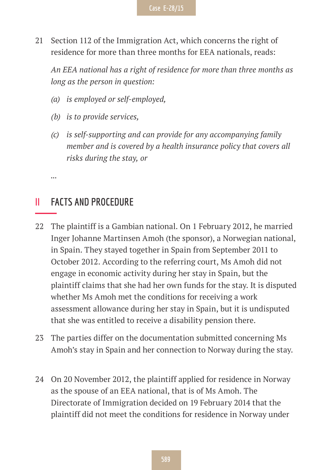

21 Section 112 of the Immigration Act, which concerns the right of residence for more than three months for EEA nationals, reads:

*An EEA national has a right of residence for more than three months as long as the person in question:*

- *(a) is employed or self-employed,*
- *(b) is to provide services,*
- *(c) is self-supporting and can provide for any accompanying family member and is covered by a health insurance policy that covers all risks during the stay, or*
- **II FACTS AND PROCEDURE**

*...*

- 22 The plaintiff is a Gambian national. On 1 February 2012, he married Inger Johanne Martinsen Amoh (the sponsor), a Norwegian national, in Spain. They stayed together in Spain from September 2011 to October 2012. According to the referring court, Ms Amoh did not engage in economic activity during her stay in Spain, but the plaintiff claims that she had her own funds for the stay. It is disputed whether Ms Amoh met the conditions for receiving a work assessment allowance during her stay in Spain, but it is undisputed that she was entitled to receive a disability pension there.
- 23 The parties differ on the documentation submitted concerning Ms Amoh's stay in Spain and her connection to Norway during the stay.
- 24 On 20 November 2012, the plaintiff applied for residence in Norway as the spouse of an EEA national, that is of Ms Amoh. The Directorate of Immigration decided on 19 February 2014 that the plaintiff did not meet the conditions for residence in Norway under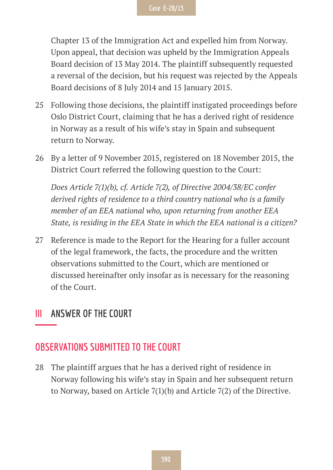Chapter 13 of the Immigration Act and expelled him from Norway. Upon appeal, that decision was upheld by the Immigration Appeals Board decision of 13 May 2014. The plaintiff subsequently requested a reversal of the decision, but his request was rejected by the Appeals Board decisions of 8 July 2014 and 15 January 2015.

- 25 Following those decisions, the plaintiff instigated proceedings before Oslo District Court, claiming that he has a derived right of residence in Norway as a result of his wife's stay in Spain and subsequent return to Norway.
- 26 By a letter of 9 November 2015, registered on 18 November 2015, the District Court referred the following question to the Court:

*Does Article 7(1)(b), cf. Article 7(2), of Directive 2004/38/EC confer derived rights of residence to a third country national who is a family member of an EEA national who, upon returning from another EEA State, is residing in the EEA State in which the EEA national is a citizen?*

27 Reference is made to the Report for the Hearing for a fuller account of the legal framework, the facts, the procedure and the written observations submitted to the Court, which are mentioned or discussed hereinafter only insofar as is necessary for the reasoning of the Court.

#### **III ANSWER OF THE COURT**

#### **OBSERVATIONS SUBMITTED TO THE COURT**

28 The plaintiff argues that he has a derived right of residence in Norway following his wife's stay in Spain and her subsequent return to Norway, based on Article 7(1)(b) and Article 7(2) of the Directive.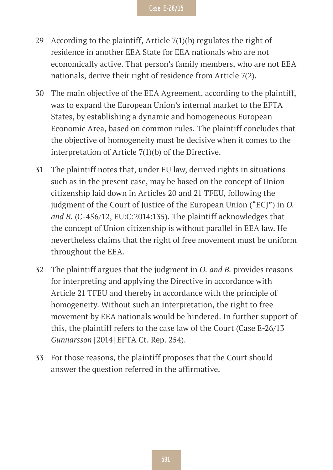- 29 According to the plaintiff, Article  $7(1)(b)$  regulates the right of residence in another EEA State for EEA nationals who are not economically active. That person's family members, who are not EEA nationals, derive their right of residence from Article 7(2).
- 30 The main objective of the EEA Agreement, according to the plaintiff, was to expand the European Union's internal market to the EFTA States, by establishing a dynamic and homogeneous European Economic Area, based on common rules. The plaintiff concludes that the objective of homogeneity must be decisive when it comes to the interpretation of Article 7(1)(b) of the Directive.
- 31 The plaintiff notes that, under EU law, derived rights in situations such as in the present case, may be based on the concept of Union citizenship laid down in Articles 20 and 21 TFEU, following the judgment of the Court of Justice of the European Union ("ECJ") in *O. and B.* (C-456/12, EU:C:2014:135). The plaintiff acknowledges that the concept of Union citizenship is without parallel in EEA law. He nevertheless claims that the right of free movement must be uniform throughout the EEA.
- 32 The plaintiff argues that the judgment in *O. and B.* provides reasons for interpreting and applying the Directive in accordance with Article 21 TFEU and thereby in accordance with the principle of homogeneity. Without such an interpretation, the right to free movement by EEA nationals would be hindered. In further support of this, the plaintiff refers to the case law of the Court (Case E-26/13 *Gunnarsson* [2014] EFTA Ct. Rep. 254).
- 33 For those reasons, the plaintiff proposes that the Court should answer the question referred in the affirmative.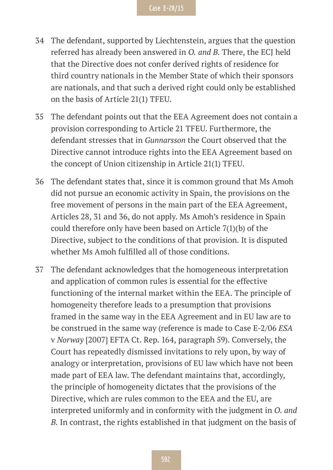- 34 The defendant, supported by Liechtenstein, argues that the question referred has already been answered in *O. and B.* There, the ECJ held that the Directive does not confer derived rights of residence for third country nationals in the Member State of which their sponsors are nationals, and that such a derived right could only be established on the basis of Article 21(1) TFEU.
- 35 The defendant points out that the EEA Agreement does not contain a provision corresponding to Article 21 TFEU. Furthermore, the defendant stresses that in *Gunnarsson* the Court observed that the Directive cannot introduce rights into the EEA Agreement based on the concept of Union citizenship in Article 21(1) TFEU.
- 36 The defendant states that, since it is common ground that Ms Amoh did not pursue an economic activity in Spain, the provisions on the free movement of persons in the main part of the EEA Agreement, Articles 28, 31 and 36, do not apply. Ms Amoh's residence in Spain could therefore only have been based on Article 7(1)(b) of the Directive, subject to the conditions of that provision. It is disputed whether Ms Amoh fulfilled all of those conditions.
- 37 The defendant acknowledges that the homogeneous interpretation and application of common rules is essential for the effective functioning of the internal market within the EEA. The principle of homogeneity therefore leads to a presumption that provisions framed in the same way in the EEA Agreement and in EU law are to be construed in the same way (reference is made to Case E-2/06 *ESA* v *Norway* [2007] EFTA Ct. Rep. 164, paragraph 59). Conversely, the Court has repeatedly dismissed invitations to rely upon, by way of analogy or interpretation, provisions of EU law which have not been made part of EEA law. The defendant maintains that, accordingly, the principle of homogeneity dictates that the provisions of the Directive, which are rules common to the EEA and the EU, are interpreted uniformly and in conformity with the judgment in *O. and B.* In contrast, the rights established in that judgment on the basis of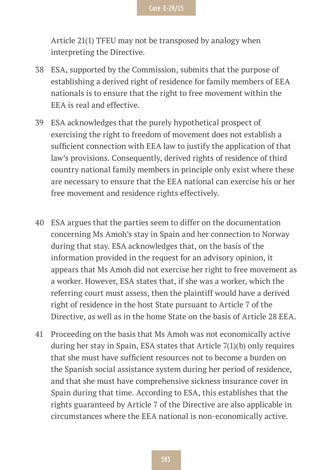Article 21(1) TFEU may not be transposed by analogy when interpreting the Directive.

- 38 ESA, supported by the Commission, submits that the purpose of establishing a derived right of residence for family members of EEA nationals is to ensure that the right to free movement within the EEA is real and effective.
- 39 ESA acknowledges that the purely hypothetical prospect of exercising the right to freedom of movement does not establish a sufficient connection with EEA law to justify the application of that law's provisions. Consequently, derived rights of residence of third country national family members in principle only exist where these are necessary to ensure that the EEA national can exercise his or her free movement and residence rights effectively.
- 40 ESA argues that the parties seem to differ on the documentation concerning Ms Amoh's stay in Spain and her connection to Norway during that stay. ESA acknowledges that, on the basis of the information provided in the request for an advisory opinion, it appears that Ms Amoh did not exercise her right to free movement as a worker. However, ESA states that, if she was a worker, which the referring court must assess, then the plaintiff would have a derived right of residence in the host State pursuant to Article 7 of the Directive, as well as in the home State on the basis of Article 28 EEA.
- 41 Proceeding on the basis that Ms Amoh was not economically active during her stay in Spain, ESA states that Article 7(1)(b) only requires that she must have sufficient resources not to become a burden on the Spanish social assistance system during her period of residence, and that she must have comprehensive sickness insurance cover in Spain during that time. According to ESA, this establishes that the rights guaranteed by Article 7 of the Directive are also applicable in circumstances where the EEA national is non-economically active.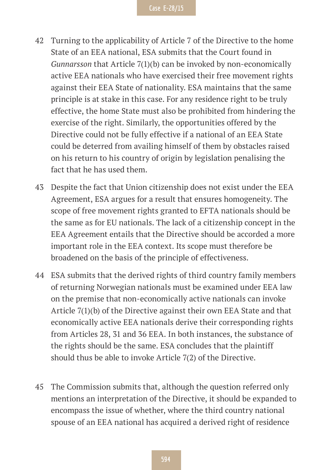- 42 Turning to the applicability of Article 7 of the Directive to the home State of an EEA national, ESA submits that the Court found in *Gunnarsson* that Article 7(1)(b) can be invoked by non-economically active EEA nationals who have exercised their free movement rights against their EEA State of nationality. ESA maintains that the same principle is at stake in this case. For any residence right to be truly effective, the home State must also be prohibited from hindering the exercise of the right. Similarly, the opportunities offered by the Directive could not be fully effective if a national of an EEA State could be deterred from availing himself of them by obstacles raised on his return to his country of origin by legislation penalising the fact that he has used them.
- 43 Despite the fact that Union citizenship does not exist under the EEA Agreement, ESA argues for a result that ensures homogeneity. The scope of free movement rights granted to EFTA nationals should be the same as for EU nationals. The lack of a citizenship concept in the EEA Agreement entails that the Directive should be accorded a more important role in the EEA context. Its scope must therefore be broadened on the basis of the principle of effectiveness.
- 44 ESA submits that the derived rights of third country family members of returning Norwegian nationals must be examined under EEA law on the premise that non-economically active nationals can invoke Article 7(1)(b) of the Directive against their own EEA State and that economically active EEA nationals derive their corresponding rights from Articles 28, 31 and 36 EEA. In both instances, the substance of the rights should be the same. ESA concludes that the plaintiff should thus be able to invoke Article 7(2) of the Directive.
- 45 The Commission submits that, although the question referred only mentions an interpretation of the Directive, it should be expanded to encompass the issue of whether, where the third country national spouse of an EEA national has acquired a derived right of residence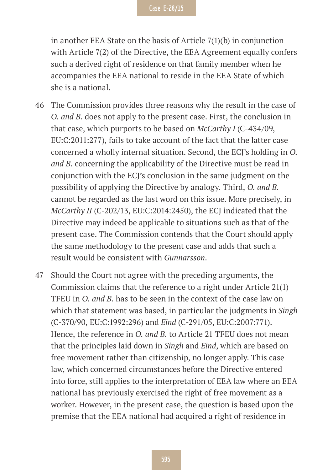in another EEA State on the basis of Article 7(1)(b) in conjunction with Article 7(2) of the Directive, the EEA Agreement equally confers such a derived right of residence on that family member when he accompanies the EEA national to reside in the EEA State of which she is a national.

- 46 The Commission provides three reasons why the result in the case of *O. and B.* does not apply to the present case. First, the conclusion in that case, which purports to be based on *McCarthy I* (C-434/09, EU:C:2011:277), fails to take account of the fact that the latter case concerned a wholly internal situation. Second, the ECJ's holding in *O. and B.* concerning the applicability of the Directive must be read in conjunction with the ECJ's conclusion in the same judgment on the possibility of applying the Directive by analogy. Third, *O. and B.*  cannot be regarded as the last word on this issue. More precisely, in *McCarthy II* (C-202/13, EU:C:2014:2450), the ECJ indicated that the Directive may indeed be applicable to situations such as that of the present case. The Commission contends that the Court should apply the same methodology to the present case and adds that such a result would be consistent with *Gunnarsson*.
- 47 Should the Court not agree with the preceding arguments, the Commission claims that the reference to a right under Article 21(1) TFEU in *O. and B.* has to be seen in the context of the case law on which that statement was based, in particular the judgments in *Singh*  (C-370/90, EU:C:1992:296) and *Eind* (C-291/05, EU:C:2007:771). Hence, the reference in *O. and B.* to Article 21 TFEU does not mean that the principles laid down in *Singh* and *Eind*, which are based on free movement rather than citizenship, no longer apply. This case law, which concerned circumstances before the Directive entered into force, still applies to the interpretation of EEA law where an EEA national has previously exercised the right of free movement as a worker. However, in the present case, the question is based upon the premise that the EEA national had acquired a right of residence in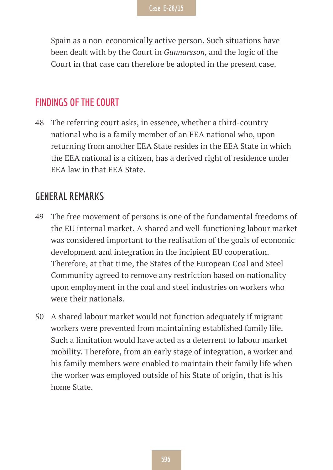Spain as a non-economically active person. Such situations have been dealt with by the Court in *Gunnarsson*, and the logic of the Court in that case can therefore be adopted in the present case.

#### **FINDINGS OF THE COURT**

48 The referring court asks, in essence, whether a third-country national who is a family member of an EEA national who, upon returning from another EEA State resides in the EEA State in which the EEA national is a citizen, has a derived right of residence under EEA law in that EEA State.

#### **GENERAL REMARKS**

- 49 The free movement of persons is one of the fundamental freedoms of the EU internal market. A shared and well-functioning labour market was considered important to the realisation of the goals of economic development and integration in the incipient EU cooperation. Therefore, at that time, the States of the European Coal and Steel Community agreed to remove any restriction based on nationality upon employment in the coal and steel industries on workers who were their nationals.
- 50 A shared labour market would not function adequately if migrant workers were prevented from maintaining established family life. Such a limitation would have acted as a deterrent to labour market mobility. Therefore, from an early stage of integration, a worker and his family members were enabled to maintain their family life when the worker was employed outside of his State of origin, that is his home State.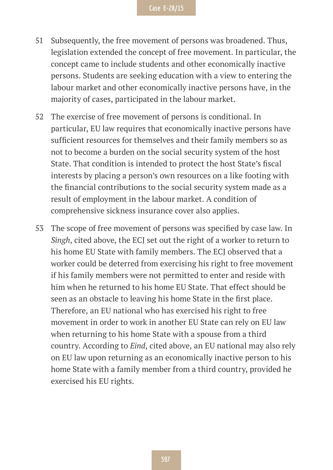- 51 Subsequently, the free movement of persons was broadened. Thus, legislation extended the concept of free movement. In particular, the concept came to include students and other economically inactive persons. Students are seeking education with a view to entering the labour market and other economically inactive persons have, in the majority of cases, participated in the labour market.
- 52 The exercise of free movement of persons is conditional. In particular, EU law requires that economically inactive persons have sufficient resources for themselves and their family members so as not to become a burden on the social security system of the host State. That condition is intended to protect the host State's fiscal interests by placing a person's own resources on a like footing with the financial contributions to the social security system made as a result of employment in the labour market. A condition of comprehensive sickness insurance cover also applies.
- 53 The scope of free movement of persons was specified by case law. In *Singh*, cited above, the ECJ set out the right of a worker to return to his home EU State with family members. The ECJ observed that a worker could be deterred from exercising his right to free movement if his family members were not permitted to enter and reside with him when he returned to his home EU State. That effect should be seen as an obstacle to leaving his home State in the first place. Therefore, an EU national who has exercised his right to free movement in order to work in another EU State can rely on EU law when returning to his home State with a spouse from a third country. According to *Eind*, cited above, an EU national may also rely on EU law upon returning as an economically inactive person to his home State with a family member from a third country, provided he exercised his EU rights.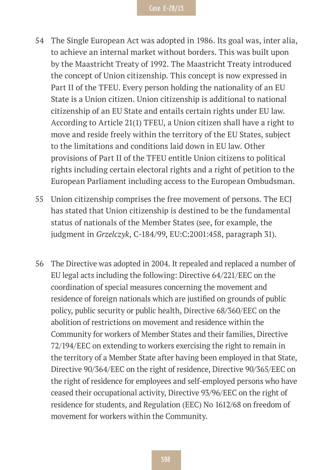- 54 The Single European Act was adopted in 1986. Its goal was, inter alia, to achieve an internal market without borders. This was built upon by the Maastricht Treaty of 1992. The Maastricht Treaty introduced the concept of Union citizenship. This concept is now expressed in Part II of the TFEU. Every person holding the nationality of an EU State is a Union citizen. Union citizenship is additional to national citizenship of an EU State and entails certain rights under EU law. According to Article 21(1) TFEU, a Union citizen shall have a right to move and reside freely within the territory of the EU States, subject to the limitations and conditions laid down in EU law. Other provisions of Part II of the TFEU entitle Union citizens to political rights including certain electoral rights and a right of petition to the European Parliament including access to the European Ombudsman.
- 55 Union citizenship comprises the free movement of persons. The ECJ has stated that Union citizenship is destined to be the fundamental status of nationals of the Member States (see, for example, the judgment in *Grzelczyk*, C-184/99, EU:C:2001:458, paragraph 31).
- 56 The Directive was adopted in 2004. It repealed and replaced a number of EU legal acts including the following: Directive 64/221/EEC on the coordination of special measures concerning the movement and residence of foreign nationals which are justified on grounds of public policy, public security or public health, Directive 68/360/EEC on the abolition of restrictions on movement and residence within the Community for workers of Member States and their families, Directive 72/194/EEC on extending to workers exercising the right to remain in the territory of a Member State after having been employed in that State, Directive 90/364/EEC on the right of residence, Directive 90/365/EEC on the right of residence for employees and self-employed persons who have ceased their occupational activity, Directive 93/96/EEC on the right of residence for students, and Regulation (EEC) No 1612/68 on freedom of movement for workers within the Community.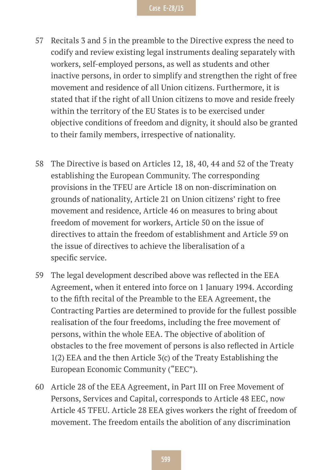- 57 Recitals 3 and 5 in the preamble to the Directive express the need to codify and review existing legal instruments dealing separately with workers, self-employed persons, as well as students and other inactive persons, in order to simplify and strengthen the right of free movement and residence of all Union citizens. Furthermore, it is stated that if the right of all Union citizens to move and reside freely within the territory of the EU States is to be exercised under objective conditions of freedom and dignity, it should also be granted to their family members, irrespective of nationality.
- 58 The Directive is based on Articles 12, 18, 40, 44 and 52 of the Treaty establishing the European Community. The corresponding provisions in the TFEU are Article 18 on non-discrimination on grounds of nationality, Article 21 on Union citizens' right to free movement and residence, Article 46 on measures to bring about freedom of movement for workers, Article 50 on the issue of directives to attain the freedom of establishment and Article 59 on the issue of directives to achieve the liberalisation of a specific service.
- 59 The legal development described above was reflected in the EEA Agreement, when it entered into force on 1 January 1994. According to the fifth recital of the Preamble to the EEA Agreement, the Contracting Parties are determined to provide for the fullest possible realisation of the four freedoms, including the free movement of persons, within the whole EEA. The objective of abolition of obstacles to the free movement of persons is also reflected in Article 1(2) EEA and the then Article 3(c) of the Treaty Establishing the European Economic Community ("EEC").
- 60 Article 28 of the EEA Agreement, in Part III on Free Movement of Persons, Services and Capital, corresponds to Article 48 EEC, now Article 45 TFEU. Article 28 EEA gives workers the right of freedom of movement. The freedom entails the abolition of any discrimination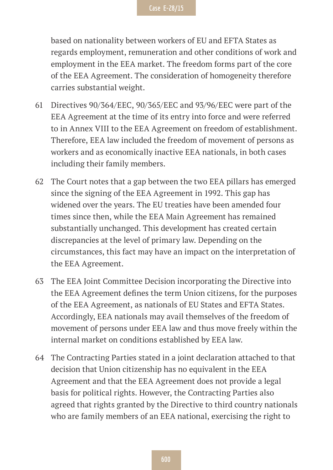based on nationality between workers of EU and EFTA States as regards employment, remuneration and other conditions of work and employment in the EEA market. The freedom forms part of the core of the EEA Agreement. The consideration of homogeneity therefore carries substantial weight.

- 61 Directives 90/364/EEC, 90/365/EEC and 93/96/EEC were part of the EEA Agreement at the time of its entry into force and were referred to in Annex VIII to the EEA Agreement on freedom of establishment. Therefore, EEA law included the freedom of movement of persons as workers and as economically inactive EEA nationals, in both cases including their family members.
- 62 The Court notes that a gap between the two EEA pillars has emerged since the signing of the EEA Agreement in 1992. This gap has widened over the years. The EU treaties have been amended four times since then, while the EEA Main Agreement has remained substantially unchanged. This development has created certain discrepancies at the level of primary law. Depending on the circumstances, this fact may have an impact on the interpretation of the EEA Agreement.
- 63 The EEA Joint Committee Decision incorporating the Directive into the EEA Agreement defines the term Union citizens, for the purposes of the EEA Agreement, as nationals of EU States and EFTA States. Accordingly, EEA nationals may avail themselves of the freedom of movement of persons under EEA law and thus move freely within the internal market on conditions established by EEA law.
- 64 The Contracting Parties stated in a joint declaration attached to that decision that Union citizenship has no equivalent in the EEA Agreement and that the EEA Agreement does not provide a legal basis for political rights. However, the Contracting Parties also agreed that rights granted by the Directive to third country nationals who are family members of an EEA national, exercising the right to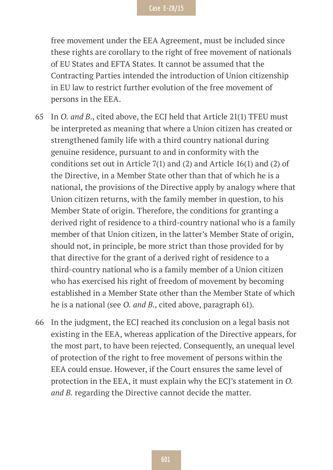free movement under the EEA Agreement, must be included since these rights are corollary to the right of free movement of nationals of EU States and EFTA States. It cannot be assumed that the Contracting Parties intended the introduction of Union citizenship in EU law to restrict further evolution of the free movement of persons in the EEA.

- 65 In *O. and B*., cited above, the ECJ held that Article 21(1) TFEU must be interpreted as meaning that where a Union citizen has created or strengthened family life with a third country national during genuine residence, pursuant to and in conformity with the conditions set out in Article 7(1) and (2) and Article 16(1) and (2) of the Directive, in a Member State other than that of which he is a national, the provisions of the Directive apply by analogy where that Union citizen returns, with the family member in question, to his Member State of origin. Therefore, the conditions for granting a derived right of residence to a third-country national who is a family member of that Union citizen, in the latter's Member State of origin, should not, in principle, be more strict than those provided for by that directive for the grant of a derived right of residence to a third-country national who is a family member of a Union citizen who has exercised his right of freedom of movement by becoming established in a Member State other than the Member State of which he is a national (see *O. and B.*, cited above, paragraph 61).
- 66 In the judgment, the ECJ reached its conclusion on a legal basis not existing in the EEA, whereas application of the Directive appears, for the most part, to have been rejected. Consequently, an unequal level of protection of the right to free movement of persons within the EEA could ensue. However, if the Court ensures the same level of protection in the EEA, it must explain why the ECJ's statement in *O. and B.* regarding the Directive cannot decide the matter.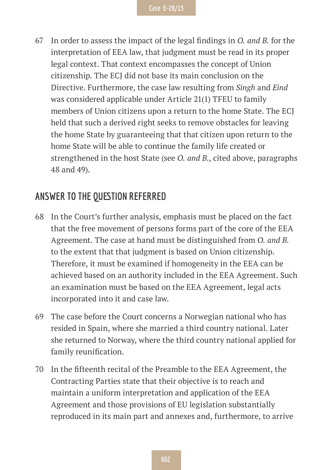67 In order to assess the impact of the legal findings in *O. and B.* for the interpretation of EEA law, that judgment must be read in its proper legal context. That context encompasses the concept of Union citizenship. The ECJ did not base its main conclusion on the Directive. Furthermore, the case law resulting from *Singh* and *Eind*  was considered applicable under Article 21(1) TFEU to family members of Union citizens upon a return to the home State. The ECJ held that such a derived right seeks to remove obstacles for leaving the home State by guaranteeing that that citizen upon return to the home State will be able to continue the family life created or strengthened in the host State (see *O. and B.*, cited above, paragraphs 48 and 49).

#### **ANSWER TO THE QUESTION REFERRED**

- 68 In the Court's further analysis, emphasis must be placed on the fact that the free movement of persons forms part of the core of the EEA Agreement. The case at hand must be distinguished from *O. and B.* to the extent that that judgment is based on Union citizenship. Therefore, it must be examined if homogeneity in the EEA can be achieved based on an authority included in the EEA Agreement. Such an examination must be based on the EEA Agreement, legal acts incorporated into it and case law.
- 69 The case before the Court concerns a Norwegian national who has resided in Spain, where she married a third country national. Later she returned to Norway, where the third country national applied for family reunification.
- 70 In the fifteenth recital of the Preamble to the EEA Agreement, the Contracting Parties state that their objective is to reach and maintain a uniform interpretation and application of the EEA Agreement and those provisions of EU legislation substantially reproduced in its main part and annexes and, furthermore, to arrive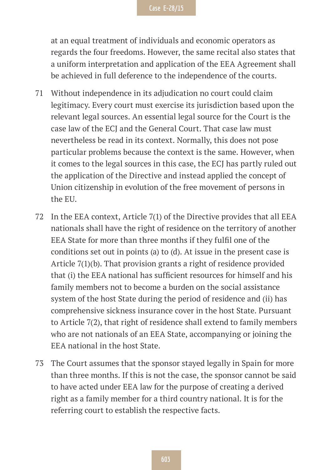at an equal treatment of individuals and economic operators as regards the four freedoms. However, the same recital also states that a uniform interpretation and application of the EEA Agreement shall be achieved in full deference to the independence of the courts.

- 71 Without independence in its adjudication no court could claim legitimacy. Every court must exercise its jurisdiction based upon the relevant legal sources. An essential legal source for the Court is the case law of the ECJ and the General Court. That case law must nevertheless be read in its context. Normally, this does not pose particular problems because the context is the same. However, when it comes to the legal sources in this case, the ECJ has partly ruled out the application of the Directive and instead applied the concept of Union citizenship in evolution of the free movement of persons in the EU.
- 72 In the EEA context, Article 7(1) of the Directive provides that all EEA nationals shall have the right of residence on the territory of another EEA State for more than three months if they fulfil one of the conditions set out in points (a) to (d). At issue in the present case is Article 7(1)(b). That provision grants a right of residence provided that (i) the EEA national has sufficient resources for himself and his family members not to become a burden on the social assistance system of the host State during the period of residence and (ii) has comprehensive sickness insurance cover in the host State. Pursuant to Article 7(2), that right of residence shall extend to family members who are not nationals of an EEA State, accompanying or joining the EEA national in the host State.
- 73 The Court assumes that the sponsor stayed legally in Spain for more than three months. If this is not the case, the sponsor cannot be said to have acted under EEA law for the purpose of creating a derived right as a family member for a third country national. It is for the referring court to establish the respective facts.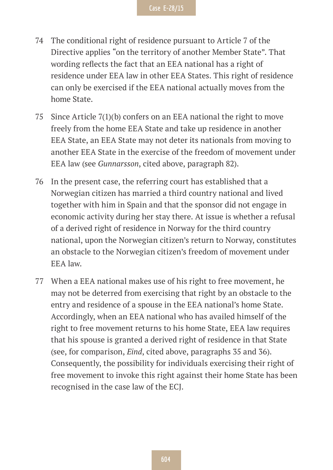- 74 The conditional right of residence pursuant to Article 7 of the Directive applies "on the territory of another Member State". That wording reflects the fact that an EEA national has a right of residence under EEA law in other EEA States. This right of residence can only be exercised if the EEA national actually moves from the home State.
- 75 Since Article 7(1)(b) confers on an EEA national the right to move freely from the home EEA State and take up residence in another EEA State, an EEA State may not deter its nationals from moving to another EEA State in the exercise of the freedom of movement under EEA law (see *Gunnarsson*, cited above, paragraph 82).
- 76 In the present case, the referring court has established that a Norwegian citizen has married a third country national and lived together with him in Spain and that the sponsor did not engage in economic activity during her stay there. At issue is whether a refusal of a derived right of residence in Norway for the third country national, upon the Norwegian citizen's return to Norway, constitutes an obstacle to the Norwegian citizen's freedom of movement under EEA law.
- 77 When a EEA national makes use of his right to free movement, he may not be deterred from exercising that right by an obstacle to the entry and residence of a spouse in the EEA national's home State. Accordingly, when an EEA national who has availed himself of the right to free movement returns to his home State, EEA law requires that his spouse is granted a derived right of residence in that State (see, for comparison, *Eind*, cited above, paragraphs 35 and 36). Consequently, the possibility for individuals exercising their right of free movement to invoke this right against their home State has been recognised in the case law of the ECJ.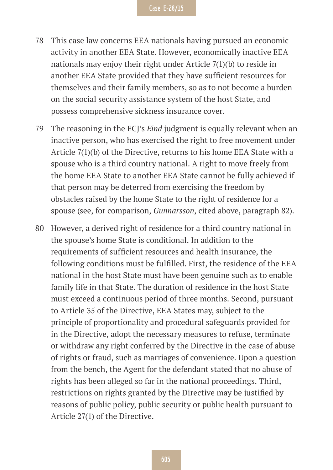- 78 This case law concerns EEA nationals having pursued an economic activity in another EEA State. However, economically inactive EEA nationals may enjoy their right under Article 7(1)(b) to reside in another EEA State provided that they have sufficient resources for themselves and their family members, so as to not become a burden on the social security assistance system of the host State, and possess comprehensive sickness insurance cover.
- 79 The reasoning in the ECJ's *Eind* judgment is equally relevant when an inactive person, who has exercised the right to free movement under Article 7(1)(b) of the Directive, returns to his home EEA State with a spouse who is a third country national. A right to move freely from the home EEA State to another EEA State cannot be fully achieved if that person may be deterred from exercising the freedom by obstacles raised by the home State to the right of residence for a spouse (see, for comparison, *Gunnarsson*, cited above, paragraph 82).
- 80 However, a derived right of residence for a third country national in the spouse's home State is conditional. In addition to the requirements of sufficient resources and health insurance, the following conditions must be fulfilled. First, the residence of the EEA national in the host State must have been genuine such as to enable family life in that State. The duration of residence in the host State must exceed a continuous period of three months. Second, pursuant to Article 35 of the Directive, EEA States may, subject to the principle of proportionality and procedural safeguards provided for in the Directive, adopt the necessary measures to refuse, terminate or withdraw any right conferred by the Directive in the case of abuse of rights or fraud, such as marriages of convenience. Upon a question from the bench, the Agent for the defendant stated that no abuse of rights has been alleged so far in the national proceedings. Third, restrictions on rights granted by the Directive may be justified by reasons of public policy, public security or public health pursuant to Article 27(1) of the Directive.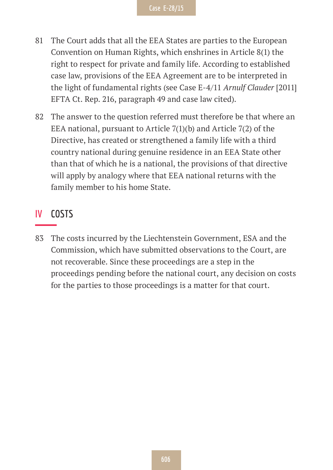- 81 The Court adds that all the EEA States are parties to the European Convention on Human Rights, which enshrines in Article 8(1) the right to respect for private and family life. According to established case law, provisions of the EEA Agreement are to be interpreted in the light of fundamental rights (see Case E-4/11 *Arnulf Clauder* [2011] EFTA Ct. Rep. 216, paragraph 49 and case law cited).
- 82 The answer to the question referred must therefore be that where an EEA national, pursuant to Article 7(1)(b) and Article 7(2) of the Directive, has created or strengthened a family life with a third country national during genuine residence in an EEA State other than that of which he is a national, the provisions of that directive will apply by analogy where that EEA national returns with the family member to his home State.

#### **IV COSTS**

83 The costs incurred by the Liechtenstein Government, ESA and the Commission, which have submitted observations to the Court, are not recoverable. Since these proceedings are a step in the proceedings pending before the national court, any decision on costs for the parties to those proceedings is a matter for that court.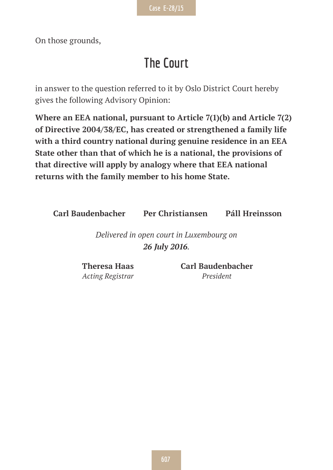On those grounds,

## **The Court**

in answer to the question referred to it by Oslo District Court hereby gives the following Advisory Opinion:

**Where an EEA national, pursuant to Article 7(1)(b) and Article 7(2) of Directive 2004/38/EC, has created or strengthened a family life with a third country national during genuine residence in an EEA State other than that of which he is a national, the provisions of that directive will apply by analogy where that EEA national returns with the family member to his home State.**

**Carl Baudenbacher Per Christiansen Páll Hreinsson**

*Delivered in open court in Luxembourg on 26 July 2016.*

**Theresa Haas** *Acting Registrar* **Carl Baudenbacher** *President*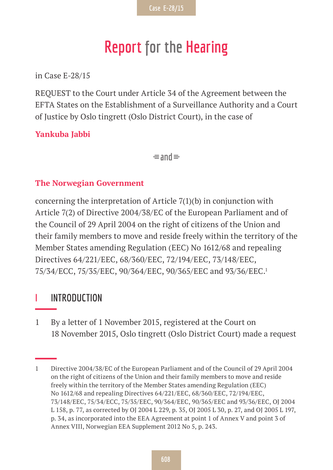## **Report for the Hearing**

in Case E-28/15

REQUEST to the Court under Article 34 of the Agreement between the EFTA States on the Establishment of a Surveillance Authority and a Court of Justice by Oslo tingrett (Oslo District Court), in the case of

**Yankuba Jabbi**

 $\equiv$ and $\equiv$ 

#### **The Norwegian Government**

concerning the interpretation of Article 7(1)(b) in conjunction with Article 7(2) of Directive 2004/38/EC of the European Parliament and of the Council of 29 April 2004 on the right of citizens of the Union and their family members to move and reside freely within the territory of the Member States amending Regulation (EEC) No 1612/68 and repealing Directives 64/221/EEC, 68/360/EEC, 72/194/EEC, 73/148/EEC, 75/34/ECC, 75/35/EEC, 90/364/EEC, 90/365/EEC and 93/36/EEC.1

#### **I INTRODUCTION**

1 By a letter of 1 November 2015, registered at the Court on 18 November 2015, Oslo tingrett (Oslo District Court) made a request

<sup>1</sup> Directive 2004/38/EC of the European Parliament and of the Council of 29 April 2004 on the right of citizens of the Union and their family members to move and reside freely within the territory of the Member States amending Regulation (EEC) No 1612/68 and repealing Directives 64/221/EEC, 68/360/EEC, 72/194/EEC, 73/148/EEC, 75/34/ECC, 75/35/EEC, 90/364/EEC, 90/365/EEC and 93/36/EEC, OJ 2004 L 158, p. 77, as corrected by OJ 2004 L 229, p. 35, OJ 2005 L 30, p. 27, and OJ 2005 L 197, p. 34, as incorporated into the EEA Agreement at point 1 of Annex V and point 3 of Annex VIII, Norwegian EEA Supplement 2012 No 5, p. 243.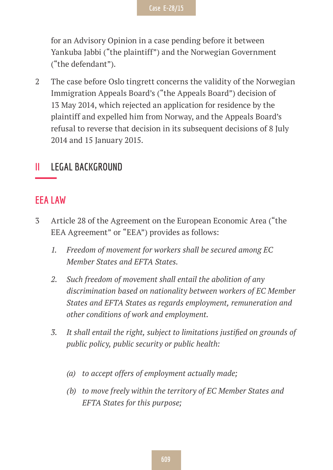for an Advisory Opinion in a case pending before it between Yankuba Jabbi ("the plaintiff") and the Norwegian Government ("the defendant").

2 The case before Oslo tingrett concerns the validity of the Norwegian Immigration Appeals Board's ("the Appeals Board") decision of 13 May 2014, which rejected an application for residence by the plaintiff and expelled him from Norway, and the Appeals Board's refusal to reverse that decision in its subsequent decisions of 8 July 2014 and 15 January 2015.

#### **II LEGAL BACKGROUND**

#### **EEA LAW**

- 3 Article 28 of the Agreement on the European Economic Area ("the EEA Agreement" or "EEA") provides as follows:
	- *1. Freedom of movement for workers shall be secured among EC Member States and EFTA States.*
	- *2. Such freedom of movement shall entail the abolition of any discrimination based on nationality between workers of EC Member States and EFTA States as regards employment, remuneration and other conditions of work and employment.*
	- *3. It shall entail the right, subject to limitations justified on grounds of public policy, public security or public health:*
		- *(a) to accept offers of employment actually made;*
		- *(b) to move freely within the territory of EC Member States and EFTA States for this purpose;*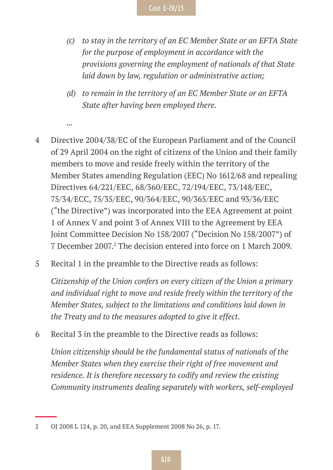- *(c) to stay in the territory of an EC Member State or an EFTA State for the purpose of employment in accordance with the provisions governing the employment of nationals of that State laid down by law, regulation or administrative action;*
- *(d) to remain in the territory of an EC Member State or an EFTA State after having been employed there.*
- 4 Directive 2004/38/EC of the European Parliament and of the Council of 29 April 2004 on the right of citizens of the Union and their family members to move and reside freely within the territory of the Member States amending Regulation (EEC) No 1612/68 and repealing Directives 64/221/EEC, 68/360/EEC, 72/194/EEC, 73/148/EEC, 75/34/ECC, 75/35/EEC, 90/364/EEC, 90/365/EEC and 93/36/EEC ("the Directive") was incorporated into the EEA Agreement at point 1 of Annex V and point 3 of Annex VIII to the Agreement by EEA Joint Committee Decision No 158/2007 ("Decision No 158/2007") of 7 December 2007.<sup>2</sup> The decision entered into force on 1 March 2009.
- 5 Recital 1 in the preamble to the Directive reads as follows:

*...*

*Citizenship of the Union confers on every citizen of the Union a primary and individual right to move and reside freely within the territory of the Member States, subject to the limitations and conditions laid down in the Treaty and to the measures adopted to give it effect.*

6 Recital 3 in the preamble to the Directive reads as follows:

*Union citizenship should be the fundamental status of nationals of the Member States when they exercise their right of free movement and residence. It is therefore necessary to codify and review the existing Community instruments dealing separately with workers, self-employed* 

<sup>2</sup> OJ 2008 L 124, p. 20, and EEA Supplement 2008 No 26, p. 17.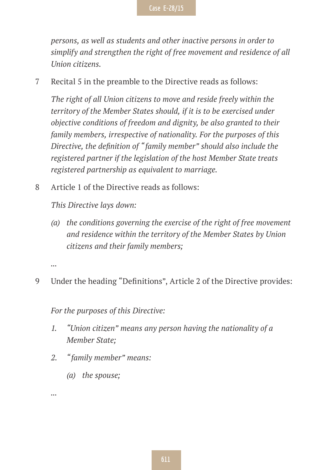*persons, as well as students and other inactive persons in order to simplify and strengthen the right of free movement and residence of all Union citizens.*

7 Recital 5 in the preamble to the Directive reads as follows:

*The right of all Union citizens to move and reside freely within the territory of the Member States should, if it is to be exercised under objective conditions of freedom and dignity, be also granted to their family members, irrespective of nationality. For the purposes of this Directive, the definition of "family member" should also include the registered partner if the legislation of the host Member State treats registered partnership as equivalent to marriage.*

8 Article 1 of the Directive reads as follows:

*This Directive lays down:*

*(a) the conditions governing the exercise of the right of free movement and residence within the territory of the Member States by Union citizens and their family members;*

*...*

9 Under the heading "Definitions", Article 2 of the Directive provides:

*For the purposes of this Directive:*

- *1. "Union citizen" means any person having the nationality of a Member State;*
- *2. "family member" means:*
	- *(a) the spouse;*

*...*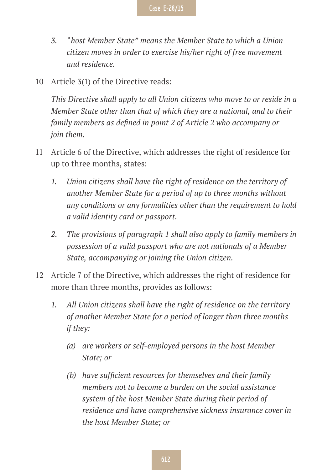- *3. "host Member State" means the Member State to which a Union citizen moves in order to exercise his/her right of free movement and residence.*
- 10 Article 3(1) of the Directive reads:

*This Directive shall apply to all Union citizens who move to or reside in a Member State other than that of which they are a national, and to their family members as defined in point 2 of Article 2 who accompany or join them.*

- 11 Article 6 of the Directive, which addresses the right of residence for up to three months, states:
	- *1. Union citizens shall have the right of residence on the territory of another Member State for a period of up to three months without any conditions or any formalities other than the requirement to hold a valid identity card or passport.*
	- *2. The provisions of paragraph 1 shall also apply to family members in possession of a valid passport who are not nationals of a Member State, accompanying or joining the Union citizen.*
- 12 Article 7 of the Directive, which addresses the right of residence for more than three months, provides as follows:
	- *1. All Union citizens shall have the right of residence on the territory of another Member State for a period of longer than three months if they:*
		- *(a) are workers or self-employed persons in the host Member State; or*
		- *(b) have sufficient resources for themselves and their family members not to become a burden on the social assistance system of the host Member State during their period of residence and have comprehensive sickness insurance cover in the host Member State; or*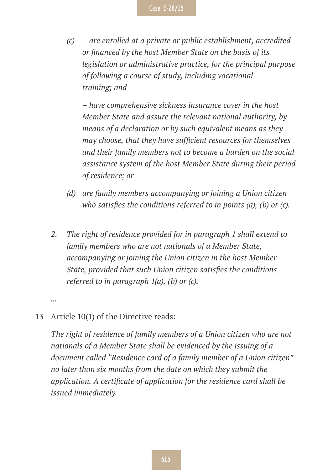*(c) – are enrolled at a private or public establishment, accredited or financed by the host Member State on the basis of its legislation or administrative practice, for the principal purpose of following a course of study, including vocational training; and*

*– have comprehensive sickness insurance cover in the host Member State and assure the relevant national authority, by means of a declaration or by such equivalent means as they may choose, that they have sufficient resources for themselves and their family members not to become a burden on the social assistance system of the host Member State during their period of residence; or*

- *(d) are family members accompanying or joining a Union citizen who satisfies the conditions referred to in points (a), (b) or (c).*
- *2. The right of residence provided for in paragraph 1 shall extend to family members who are not nationals of a Member State, accompanying or joining the Union citizen in the host Member State, provided that such Union citizen satisfies the conditions referred to in paragraph 1(a), (b) or (c).*

*...*

#### 13 Article 10(1) of the Directive reads:

*The right of residence of family members of a Union citizen who are not nationals of a Member State shall be evidenced by the issuing of a document called "Residence card of a family member of a Union citizen" no later than six months from the date on which they submit the application. A certificate of application for the residence card shall be issued immediately.*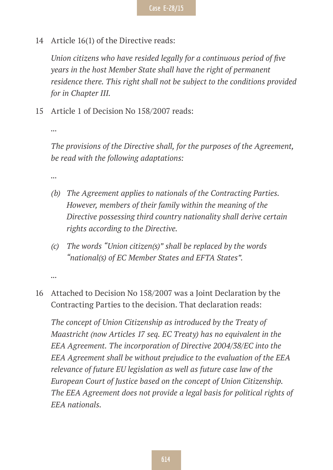14 Article 16(1) of the Directive reads:

*Union citizens who have resided legally for a continuous period of five years in the host Member State shall have the right of permanent residence there. This right shall not be subject to the conditions provided for in Chapter III.*

15 Article 1 of Decision No 158/2007 reads:

*...*

*The provisions of the Directive shall, for the purposes of the Agreement, be read with the following adaptations:*

*...*

- *(b) The Agreement applies to nationals of the Contracting Parties. However, members of their family within the meaning of the Directive possessing third country nationality shall derive certain rights according to the Directive.*
- *(c) The words "Union citizen(s)" shall be replaced by the words "national(s) of EC Member States and EFTA States".*

*...*

16 Attached to Decision No 158/2007 was a Joint Declaration by the Contracting Parties to the decision. That declaration reads:

*The concept of Union Citizenship as introduced by the Treaty of Maastricht (now Articles 17 seq. EC Treaty) has no equivalent in the EEA Agreement. The incorporation of Directive 2004/38/EC into the EEA Agreement shall be without prejudice to the evaluation of the EEA relevance of future EU legislation as well as future case law of the European Court of Justice based on the concept of Union Citizenship. The EEA Agreement does not provide a legal basis for political rights of EEA nationals.*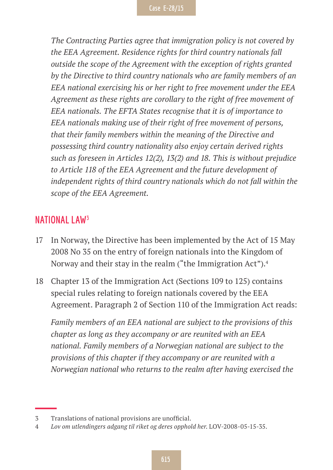*The Contracting Parties agree that immigration policy is not covered by the EEA Agreement. Residence rights for third country nationals fall outside the scope of the Agreement with the exception of rights granted by the Directive to third country nationals who are family members of an EEA national exercising his or her right to free movement under the EEA Agreement as these rights are corollary to the right of free movement of EEA nationals. The EFTA States recognise that it is of importance to EEA nationals making use of their right of free movement of persons, that their family members within the meaning of the Directive and possessing third country nationality also enjoy certain derived rights such as foreseen in Articles 12(2), 13(2) and 18. This is without prejudice to Article 118 of the EEA Agreement and the future development of independent rights of third country nationals which do not fall within the scope of the EEA Agreement.*

#### **NATIONAL LAW3**

- 17 In Norway, the Directive has been implemented by the Act of 15 May 2008 No 35 on the entry of foreign nationals into the Kingdom of Norway and their stay in the realm ("the Immigration Act").4
- 18 Chapter 13 of the Immigration Act (Sections 109 to 125) contains special rules relating to foreign nationals covered by the EEA Agreement. Paragraph 2 of Section 110 of the Immigration Act reads:

*Family members of an EEA national are subject to the provisions of this chapter as long as they accompany or are reunited with an EEA national. Family members of a Norwegian national are subject to the provisions of this chapter if they accompany or are reunited with a Norwegian national who returns to the realm after having exercised the* 

<sup>3</sup> Translations of national provisions are unofficial.

<sup>4</sup> *Lov om utlendingers adgang til riket og deres opphold her*. LOV-2008-05-15-35.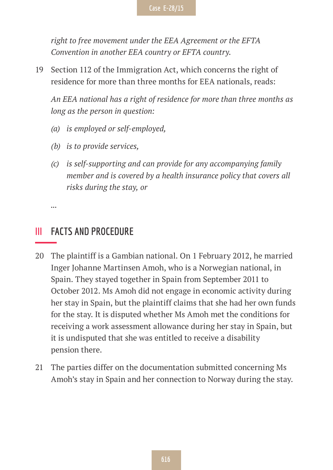*right to free movement under the EEA Agreement or the EFTA Convention in another EEA country or EFTA country.*

19 Section 112 of the Immigration Act, which concerns the right of residence for more than three months for EEA nationals, reads:

*An EEA national has a right of residence for more than three months as long as the person in question:*

- *(a) is employed or self-employed,*
- *(b) is to provide services,*
- *(c) is self-supporting and can provide for any accompanying family member and is covered by a health insurance policy that covers all risks during the stay, or*

*...*

#### **III FACTS AND PROCEDURE**

- 20 The plaintiff is a Gambian national. On 1 February 2012, he married Inger Johanne Martinsen Amoh, who is a Norwegian national, in Spain. They stayed together in Spain from September 2011 to October 2012. Ms Amoh did not engage in economic activity during her stay in Spain, but the plaintiff claims that she had her own funds for the stay. It is disputed whether Ms Amoh met the conditions for receiving a work assessment allowance during her stay in Spain, but it is undisputed that she was entitled to receive a disability pension there.
- 21 The parties differ on the documentation submitted concerning Ms Amoh's stay in Spain and her connection to Norway during the stay.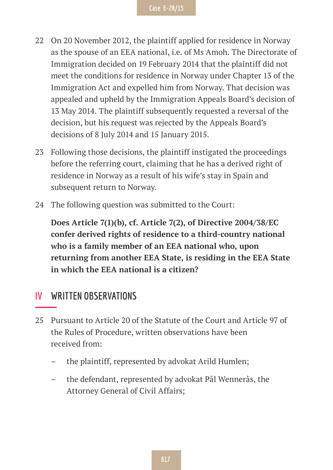- 22 On 20 November 2012, the plaintiff applied for residence in Norway as the spouse of an EEA national, i.e. of Ms Amoh. The Directorate of Immigration decided on 19 February 2014 that the plaintiff did not meet the conditions for residence in Norway under Chapter 13 of the Immigration Act and expelled him from Norway. That decision was appealed and upheld by the Immigration Appeals Board's decision of 13 May 2014. The plaintiff subsequently requested a reversal of the decision, but his request was rejected by the Appeals Board's decisions of 8 July 2014 and 15 January 2015.
- 23 Following those decisions, the plaintiff instigated the proceedings before the referring court, claiming that he has a derived right of residence in Norway as a result of his wife's stay in Spain and subsequent return to Norway.
- 24 The following question was submitted to the Court:

**Does Article 7(1)(b), cf. Article 7(2), of Directive 2004/38/EC confer derived rights of residence to a third-country national who is a family member of an EEA national who, upon returning from another EEA State, is residing in the EEA State in which the EEA national is a citizen?**

#### **IV WRITTEN OBSERVATIONS**

- 25 Pursuant to Article 20 of the Statute of the Court and Article 97 of the Rules of Procedure, written observations have been received from:
	- the plaintiff, represented by advokat Arild Humlen;
	- the defendant, represented by advokat Pål Wennerås, the Attorney General of Civil Affairs;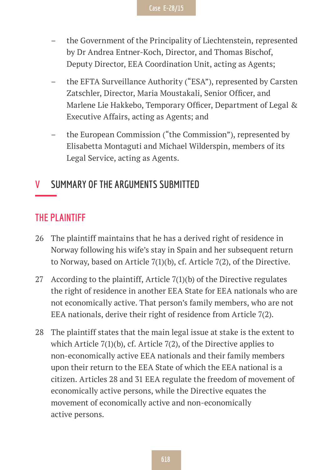- the Government of the Principality of Liechtenstein, represented by Dr Andrea Entner-Koch, Director, and Thomas Bischof, Deputy Director, EEA Coordination Unit, acting as Agents;
- the EFTA Surveillance Authority ("ESA"), represented by Carsten Zatschler, Director, Maria Moustakali, Senior Officer, and Marlene Lie Hakkebo, Temporary Officer, Department of Legal & Executive Affairs, acting as Agents; and
- the European Commission ("the Commission"), represented by Elisabetta Montaguti and Michael Wilderspin, members of its Legal Service, acting as Agents.

#### **V SUMMARY OF THE ARGUMENTS SUBMITTED**

#### **THE PLAINTIFF**

- 26 The plaintiff maintains that he has a derived right of residence in Norway following his wife's stay in Spain and her subsequent return to Norway, based on Article 7(1)(b), cf. Article 7(2), of the Directive.
- 27 According to the plaintiff, Article 7(1)(b) of the Directive regulates the right of residence in another EEA State for EEA nationals who are not economically active. That person's family members, who are not EEA nationals, derive their right of residence from Article 7(2).
- 28 The plaintiff states that the main legal issue at stake is the extent to which Article 7(1)(b), cf. Article 7(2), of the Directive applies to non-economically active EEA nationals and their family members upon their return to the EEA State of which the EEA national is a citizen. Articles 28 and 31 EEA regulate the freedom of movement of economically active persons, while the Directive equates the movement of economically active and non-economically active persons.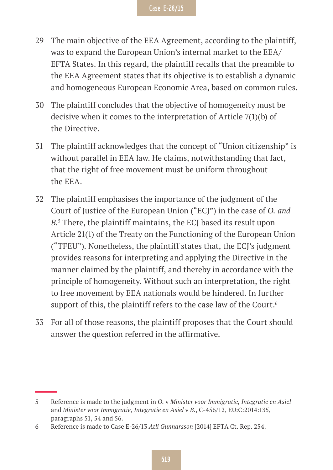- 29 The main objective of the EEA Agreement, according to the plaintiff, was to expand the European Union's internal market to the EEA/ EFTA States. In this regard, the plaintiff recalls that the preamble to the EEA Agreement states that its objective is to establish a dynamic and homogeneous European Economic Area, based on common rules.
- 30 The plaintiff concludes that the objective of homogeneity must be decisive when it comes to the interpretation of Article 7(1)(b) of the Directive.
- 31 The plaintiff acknowledges that the concept of "Union citizenship" is without parallel in EEA law. He claims, notwithstanding that fact, that the right of free movement must be uniform throughout the EEA.
- 32 The plaintiff emphasises the importance of the judgment of the Court of Justice of the European Union ("ECJ") in the case of *O. and B*. 5 There, the plaintiff maintains, the ECJ based its result upon Article 21(1) of the Treaty on the Functioning of the European Union ("TFEU"). Nonetheless, the plaintiff states that, the ECJ's judgment provides reasons for interpreting and applying the Directive in the manner claimed by the plaintiff, and thereby in accordance with the principle of homogeneity. Without such an interpretation, the right to free movement by EEA nationals would be hindered. In further support of this, the plaintiff refers to the case law of the Court.<sup>6</sup>
- 33 For all of those reasons, the plaintiff proposes that the Court should answer the question referred in the affirmative.

<sup>5</sup> Reference is made to the judgment in *O.* v *Minister voor Immigratie, Integratie en Asiel* and *Minister voor Immigratie, Integratie en Asiel* v *B.*, C-456/12, EU:C:2014:135, paragraphs 51, 54 and 56.

<sup>6</sup> Reference is made to Case E-26/13 *Atli Gunnarsson* [2014] EFTA Ct. Rep. 254.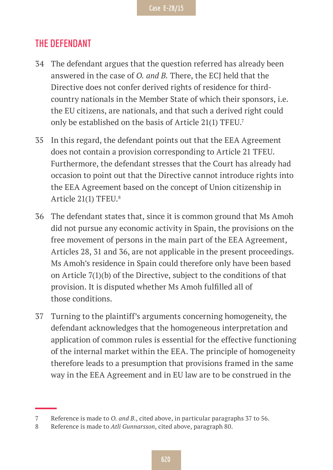#### **THE DEFENDANT**

- 34 The defendant argues that the question referred has already been answered in the case of *O. and B.* There, the ECJ held that the Directive does not confer derived rights of residence for thirdcountry nationals in the Member State of which their sponsors, i.e. the EU citizens, are nationals, and that such a derived right could only be established on the basis of Article 21(1) TFEU.7
- 35 In this regard, the defendant points out that the EEA Agreement does not contain a provision corresponding to Article 21 TFEU. Furthermore, the defendant stresses that the Court has already had occasion to point out that the Directive cannot introduce rights into the EEA Agreement based on the concept of Union citizenship in Article 21(1) TFEU.8
- 36 The defendant states that, since it is common ground that Ms Amoh did not pursue any economic activity in Spain, the provisions on the free movement of persons in the main part of the EEA Agreement, Articles 28, 31 and 36, are not applicable in the present proceedings. Ms Amoh's residence in Spain could therefore only have been based on Article 7(1)(b) of the Directive, subject to the conditions of that provision. It is disputed whether Ms Amoh fulfilled all of those conditions.
- 37 Turning to the plaintiff's arguments concerning homogeneity, the defendant acknowledges that the homogeneous interpretation and application of common rules is essential for the effective functioning of the internal market within the EEA. The principle of homogeneity therefore leads to a presumption that provisions framed in the same way in the EEA Agreement and in EU law are to be construed in the

<sup>7</sup> Reference is made to *O. and B.*, cited above, in particular paragraphs 37 to 56.

<sup>8</sup> Reference is made to *Atli Gunnarsson*, cited above, paragraph 80.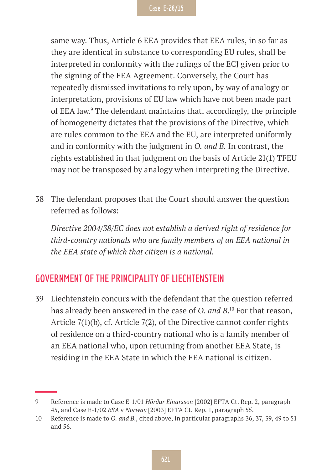same way. Thus, Article 6 EEA provides that EEA rules, in so far as they are identical in substance to corresponding EU rules, shall be interpreted in conformity with the rulings of the ECJ given prior to the signing of the EEA Agreement. Conversely, the Court has repeatedly dismissed invitations to rely upon, by way of analogy or interpretation, provisions of EU law which have not been made part of EEA law.9 The defendant maintains that, accordingly, the principle of homogeneity dictates that the provisions of the Directive, which are rules common to the EEA and the EU, are interpreted uniformly and in conformity with the judgment in *O. and B.* In contrast, the rights established in that judgment on the basis of Article 21(1) TFEU may not be transposed by analogy when interpreting the Directive.

38 The defendant proposes that the Court should answer the question referred as follows:

*Directive 2004/38/EC does not establish a derived right of residence for third-country nationals who are family members of an EEA national in the EEA state of which that citizen is a national.*

#### **GOVERNMENT OF THE PRINCIPALITY OF LIECHTENSTEIN**

39 Liechtenstein concurs with the defendant that the question referred has already been answered in the case of *O. and B*. 10 For that reason, Article 7(1)(b), cf. Article 7(2), of the Directive cannot confer rights of residence on a third-country national who is a family member of an EEA national who, upon returning from another EEA State, is residing in the EEA State in which the EEA national is citizen.

<sup>9</sup> Reference is made to Case E-1/01 *Hörður Einarsson* [2002] EFTA Ct. Rep. 2, paragraph 45, and Case E-1/02 *ESA* v *Norway* [2003] EFTA Ct. Rep. 1, paragraph 55.

<sup>10</sup> Reference is made to *O. and B.*, cited above, in particular paragraphs 36, 37, 39, 49 to 51 and 56.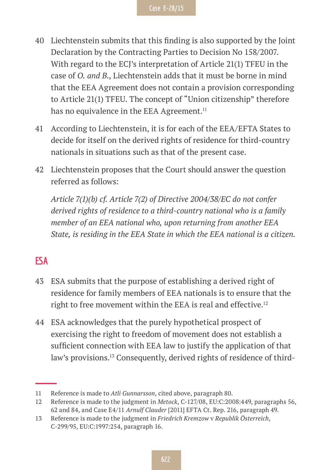- 40 Liechtenstein submits that this finding is also supported by the Joint Declaration by the Contracting Parties to Decision No 158/2007. With regard to the ECJ's interpretation of Article 21(1) TFEU in the case of *O. and B.*, Liechtenstein adds that it must be borne in mind that the EEA Agreement does not contain a provision corresponding to Article 21(1) TFEU. The concept of "Union citizenship" therefore has no equivalence in the EEA Agreement.<sup>11</sup>
- 41 According to Liechtenstein, it is for each of the EEA/EFTA States to decide for itself on the derived rights of residence for third-country nationals in situations such as that of the present case.
- 42 Liechtenstein proposes that the Court should answer the question referred as follows:

*Article 7(1)(b) cf. Article 7(2) of Directive 2004/38/EC do not confer derived rights of residence to a third-country national who is a family member of an EEA national who, upon returning from another EEA State, is residing in the EEA State in which the EEA national is a citizen.*

#### **ESA**

- 43 ESA submits that the purpose of establishing a derived right of residence for family members of EEA nationals is to ensure that the right to free movement within the EEA is real and effective.<sup>12</sup>
- 44 ESA acknowledges that the purely hypothetical prospect of exercising the right to freedom of movement does not establish a sufficient connection with EEA law to justify the application of that law's provisions.13 Consequently, derived rights of residence of third-

<sup>11</sup> Reference is made to *Atli Gunnarsson*, cited above, paragraph 80.

<sup>12</sup> Reference is made to the judgment in *Metock*, C-127/08, EU:C:2008:449, paragraphs 56, 62 and 84, and Case E4/11 *Arnulf Clauder* [2011] EFTA Ct. Rep. 216, paragraph 49.

<sup>13</sup> Reference is made to the judgment in *Friedrich Kremzow* v *Republik Österreich*, C-299/95, EU:C:1997:254, paragraph 16.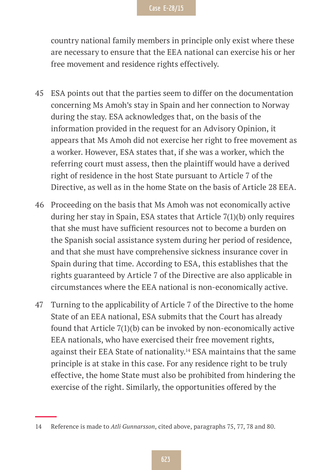country national family members in principle only exist where these are necessary to ensure that the EEA national can exercise his or her free movement and residence rights effectively.

- 45 ESA points out that the parties seem to differ on the documentation concerning Ms Amoh's stay in Spain and her connection to Norway during the stay. ESA acknowledges that, on the basis of the information provided in the request for an Advisory Opinion, it appears that Ms Amoh did not exercise her right to free movement as a worker. However, ESA states that, if she was a worker, which the referring court must assess, then the plaintiff would have a derived right of residence in the host State pursuant to Article 7 of the Directive, as well as in the home State on the basis of Article 28 EEA.
- 46 Proceeding on the basis that Ms Amoh was not economically active during her stay in Spain, ESA states that Article 7(1)(b) only requires that she must have sufficient resources not to become a burden on the Spanish social assistance system during her period of residence, and that she must have comprehensive sickness insurance cover in Spain during that time. According to ESA, this establishes that the rights guaranteed by Article 7 of the Directive are also applicable in circumstances where the EEA national is non-economically active.
- 47 Turning to the applicability of Article 7 of the Directive to the home State of an EEA national, ESA submits that the Court has already found that Article 7(1)(b) can be invoked by non-economically active EEA nationals, who have exercised their free movement rights, against their EEA State of nationality.<sup>14</sup> ESA maintains that the same principle is at stake in this case. For any residence right to be truly effective, the home State must also be prohibited from hindering the exercise of the right. Similarly, the opportunities offered by the

<sup>14</sup> Reference is made to *Atli Gunnarsson*, cited above, paragraphs 75, 77, 78 and 80.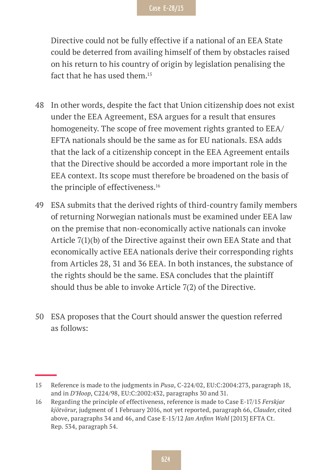Directive could not be fully effective if a national of an EEA State could be deterred from availing himself of them by obstacles raised on his return to his country of origin by legislation penalising the fact that he has used them.<sup>15</sup>

- 48 In other words, despite the fact that Union citizenship does not exist under the EEA Agreement, ESA argues for a result that ensures homogeneity. The scope of free movement rights granted to EEA/ EFTA nationals should be the same as for EU nationals. ESA adds that the lack of a citizenship concept in the EEA Agreement entails that the Directive should be accorded a more important role in the EEA context. Its scope must therefore be broadened on the basis of the principle of effectiveness.<sup>16</sup>
- 49 ESA submits that the derived rights of third-country family members of returning Norwegian nationals must be examined under EEA law on the premise that non-economically active nationals can invoke Article 7(1)(b) of the Directive against their own EEA State and that economically active EEA nationals derive their corresponding rights from Articles 28, 31 and 36 EEA. In both instances, the substance of the rights should be the same. ESA concludes that the plaintiff should thus be able to invoke Article 7(2) of the Directive.
- 50 ESA proposes that the Court should answer the question referred as follows:

<sup>15</sup> Reference is made to the judgments in *Pusa*, C-224/02, EU:C:2004:273, paragraph 18, and in *D'Hoop*, C224/98, EU:C:2002:432, paragraphs 30 and 31.

<sup>16</sup> Regarding the principle of effectiveness, reference is made to Case E-17/15 *Ferskjar kjötvörur*, judgment of 1 February 2016, not yet reported, paragraph 66, *Clauder*, cited above, paragraphs 34 and 46, and Case E-15/12 *Jan Anfinn Wahl* [2013] EFTA Ct. Rep. 534, paragraph 54.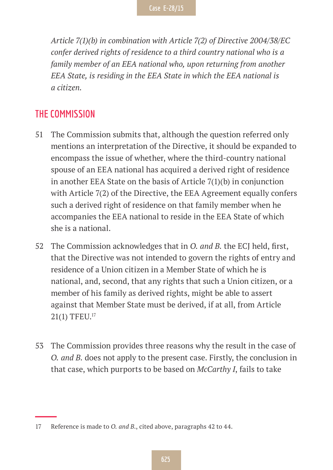*Article 7(1)(b) in combination with Article 7(2) of Directive 2004/38/EC confer derived rights of residence to a third country national who is a family member of an EEA national who, upon returning from another EEA State, is residing in the EEA State in which the EEA national is a citizen.*

#### **THE COMMISSION**

- 51 The Commission submits that, although the question referred only mentions an interpretation of the Directive, it should be expanded to encompass the issue of whether, where the third-country national spouse of an EEA national has acquired a derived right of residence in another EEA State on the basis of Article 7(1)(b) in conjunction with Article 7(2) of the Directive, the EEA Agreement equally confers such a derived right of residence on that family member when he accompanies the EEA national to reside in the EEA State of which she is a national.
- 52 The Commission acknowledges that in *O. and B.* the ECJ held, first, that the Directive was not intended to govern the rights of entry and residence of a Union citizen in a Member State of which he is national, and, second, that any rights that such a Union citizen, or a member of his family as derived rights, might be able to assert against that Member State must be derived, if at all, from Article 21(1) TFEU.17
- 53 The Commission provides three reasons why the result in the case of *O. and B.* does not apply to the present case. Firstly, the conclusion in that case, which purports to be based on *McCarthy I*, fails to take

<sup>17</sup> Reference is made to *O. and B.*, cited above, paragraphs 42 to 44.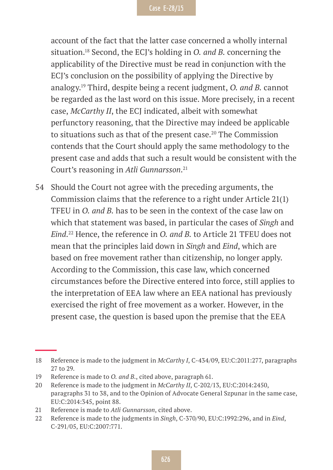account of the fact that the latter case concerned a wholly internal situation.18 Second, the ECJ's holding in *O. and B.* concerning the applicability of the Directive must be read in conjunction with the ECJ's conclusion on the possibility of applying the Directive by analogy.19 Third, despite being a recent judgment, *O. and B.* cannot be regarded as the last word on this issue. More precisely, in a recent case, *McCarthy II*, the ECJ indicated, albeit with somewhat perfunctory reasoning, that the Directive may indeed be applicable to situations such as that of the present case.<sup>20</sup> The Commission contends that the Court should apply the same methodology to the present case and adds that such a result would be consistent with the Court's reasoning in *Atli Gunnarsson*. 21

54 Should the Court not agree with the preceding arguments, the Commission claims that the reference to a right under Article 21(1) TFEU in *O. and B.* has to be seen in the context of the case law on which that statement was based, in particular the cases of *Singh* and *Eind*. 22 Hence, the reference in *O. and B.* to Article 21 TFEU does not mean that the principles laid down in *Singh* and *Eind*, which are based on free movement rather than citizenship, no longer apply. According to the Commission, this case law, which concerned circumstances before the Directive entered into force, still applies to the interpretation of EEA law where an EEA national has previously exercised the right of free movement as a worker. However, in the present case, the question is based upon the premise that the EEA

<sup>18</sup> Reference is made to the judgment in *McCarthy I*, C-434/09, EU:C:2011:277, paragraphs 27 to 29.

<sup>19</sup> Reference is made to *O. and B.*, cited above, paragraph 61.

<sup>20</sup> Reference is made to the judgment in *McCarthy II*, C-202/13, EU:C:2014:2450, paragraphs 31 to 38, and to the Opinion of Advocate General Szpunar in the same case, EU:C:2014:345, point 88.

<sup>21</sup> Reference is made to *Atli Gunnarsson*, cited above.

<sup>22</sup> Reference is made to the judgments in *Singh*, C-370/90, EU:C:1992:296, and in *Eind*, C-291/05, EU:C:2007:771.